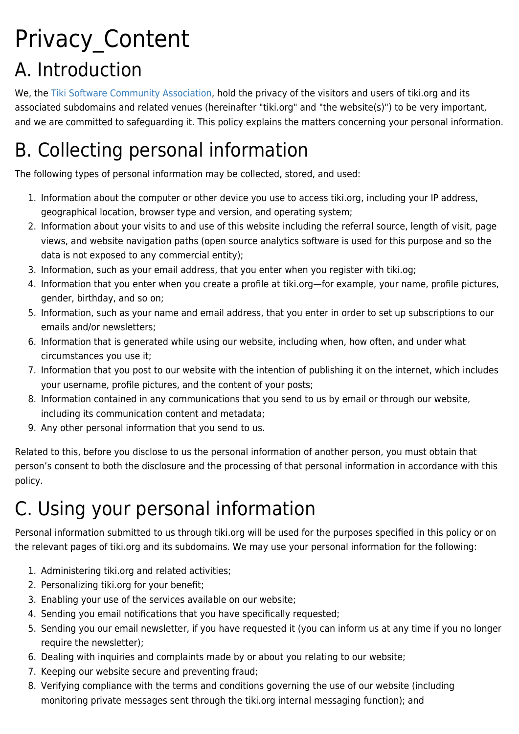# Privacy\_Content A. Introduction

We, the [Tiki Software Community Association,](https://tiki.org/Tiki-Software-Community-Association) hold the privacy of the visitors and users of tiki.org and its associated subdomains and related venues (hereinafter "tiki.org" and "the website(s)") to be very important, and we are committed to safeguarding it. This policy explains the matters concerning your personal information.

# B. Collecting personal information

The following types of personal information may be collected, stored, and used:

- 1. Information about the computer or other device you use to access tiki.org, including your IP address, geographical location, browser type and version, and operating system;
- 2. Information about your visits to and use of this website including the referral source, length of visit, page views, and website navigation paths (open source analytics software is used for this purpose and so the data is not exposed to any commercial entity);
- 3. Information, such as your email address, that you enter when you register with tiki.og;
- 4. Information that you enter when you create a profile at tiki.org—for example, your name, profile pictures, gender, birthday, and so on;
- 5. Information, such as your name and email address, that you enter in order to set up subscriptions to our emails and/or newsletters;
- 6. Information that is generated while using our website, including when, how often, and under what circumstances you use it;
- 7. Information that you post to our website with the intention of publishing it on the internet, which includes your username, profile pictures, and the content of your posts;
- 8. Information contained in any communications that you send to us by email or through our website, including its communication content and metadata;
- 9. Any other personal information that you send to us.

Related to this, before you disclose to us the personal information of another person, you must obtain that person's consent to both the disclosure and the processing of that personal information in accordance with this policy.

# C. Using your personal information

Personal information submitted to us through tiki.org will be used for the purposes specified in this policy or on the relevant pages of tiki.org and its subdomains. We may use your personal information for the following:

- 1. Administering tiki.org and related activities;
- 2. Personalizing tiki.org for your benefit;
- 3. Enabling your use of the services available on our website;
- 4. Sending you email notifications that you have specifically requested;
- 5. Sending you our email newsletter, if you have requested it (you can inform us at any time if you no longer require the newsletter);
- 6. Dealing with inquiries and complaints made by or about you relating to our website;
- 7. Keeping our website secure and preventing fraud;
- 8. Verifying compliance with the terms and conditions governing the use of our website (including monitoring private messages sent through the tiki.org internal messaging function); and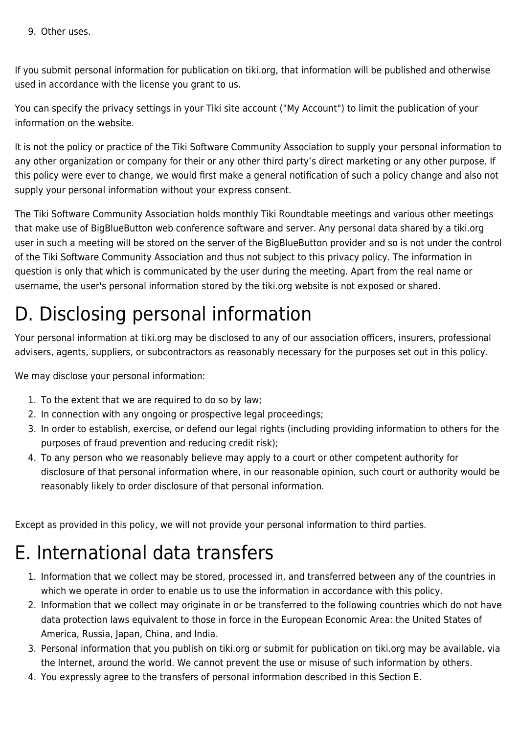9. Other uses.

If you submit personal information for publication on tiki.org, that information will be published and otherwise used in accordance with the license you grant to us.

You can specify the privacy settings in your Tiki site account ("My Account") to limit the publication of your information on the website.

It is not the policy or practice of the Tiki Software Community Association to supply your personal information to any other organization or company for their or any other third party's direct marketing or any other purpose. If this policy were ever to change, we would first make a general notification of such a policy change and also not supply your personal information without your express consent.

The Tiki Software Community Association holds monthly Tiki Roundtable meetings and various other meetings that make use of BigBlueButton web conference software and server. Any personal data shared by a tiki.org user in such a meeting will be stored on the server of the BigBlueButton provider and so is not under the control of the Tiki Software Community Association and thus not subject to this privacy policy. The information in question is only that which is communicated by the user during the meeting. Apart from the real name or username, the user's personal information stored by the tiki.org website is not exposed or shared.

#### D. Disclosing personal information

Your personal information at tiki.org may be disclosed to any of our association officers, insurers, professional advisers, agents, suppliers, or subcontractors as reasonably necessary for the purposes set out in this policy.

We may disclose your personal information:

- 1. To the extent that we are required to do so by law;
- 2. In connection with any ongoing or prospective legal proceedings;
- 3. In order to establish, exercise, or defend our legal rights (including providing information to others for the purposes of fraud prevention and reducing credit risk);
- 4. To any person who we reasonably believe may apply to a court or other competent authority for disclosure of that personal information where, in our reasonable opinion, such court or authority would be reasonably likely to order disclosure of that personal information.

Except as provided in this policy, we will not provide your personal information to third parties.

#### E. International data transfers

- 1. Information that we collect may be stored, processed in, and transferred between any of the countries in which we operate in order to enable us to use the information in accordance with this policy.
- 2. Information that we collect may originate in or be transferred to the following countries which do not have data protection laws equivalent to those in force in the European Economic Area: the United States of America, Russia, Japan, China, and India.
- 3. Personal information that you publish on tiki.org or submit for publication on tiki.org may be available, via the Internet, around the world. We cannot prevent the use or misuse of such information by others.
- 4. You expressly agree to the transfers of personal information described in this Section E.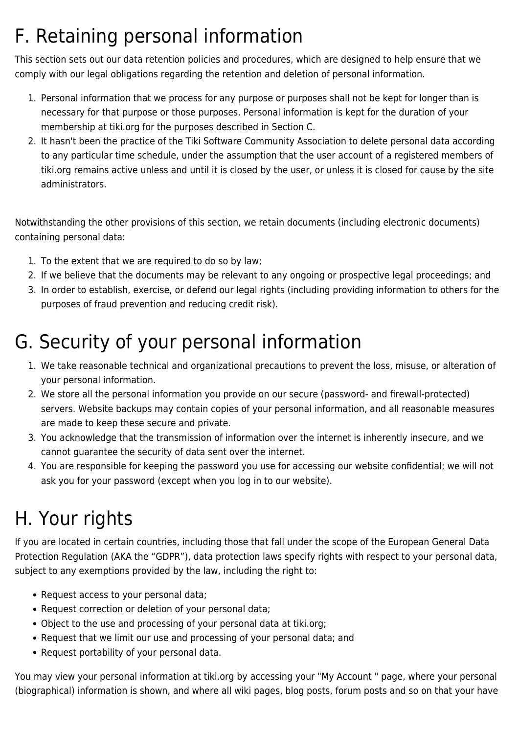#### F. Retaining personal information

This section sets out our data retention policies and procedures, which are designed to help ensure that we comply with our legal obligations regarding the retention and deletion of personal information.

- 1. Personal information that we process for any purpose or purposes shall not be kept for longer than is necessary for that purpose or those purposes. Personal information is kept for the duration of your membership at tiki.org for the purposes described in Section C.
- 2. It hasn't been the practice of the Tiki Software Community Association to delete personal data according to any particular time schedule, under the assumption that the user account of a registered members of tiki.org remains active unless and until it is closed by the user, or unless it is closed for cause by the site administrators.

Notwithstanding the other provisions of this section, we retain documents (including electronic documents) containing personal data:

- 1. To the extent that we are required to do so by law;
- 2. If we believe that the documents may be relevant to any ongoing or prospective legal proceedings; and
- 3. In order to establish, exercise, or defend our legal rights (including providing information to others for the purposes of fraud prevention and reducing credit risk).

#### G. Security of your personal information

- 1. We take reasonable technical and organizational precautions to prevent the loss, misuse, or alteration of your personal information.
- 2. We store all the personal information you provide on our secure (password- and firewall-protected) servers. Website backups may contain copies of your personal information, and all reasonable measures are made to keep these secure and private.
- 3. You acknowledge that the transmission of information over the internet is inherently insecure, and we cannot guarantee the security of data sent over the internet.
- 4. You are responsible for keeping the password you use for accessing our website confidential; we will not ask you for your password (except when you log in to our website).

#### H. Your rights

If you are located in certain countries, including those that fall under the scope of the European General Data Protection Regulation (AKA the "GDPR"), data protection laws specify rights with respect to your personal data, subject to any exemptions provided by the law, including the right to:

- Request access to your personal data;
- Request correction or deletion of your personal data;
- Object to the use and processing of your personal data at tiki.org;
- Request that we limit our use and processing of your personal data; and
- Request portability of your personal data.

You may view your personal information at tiki.org by accessing your "My Account " page, where your personal (biographical) information is shown, and where all wiki pages, blog posts, forum posts and so on that your have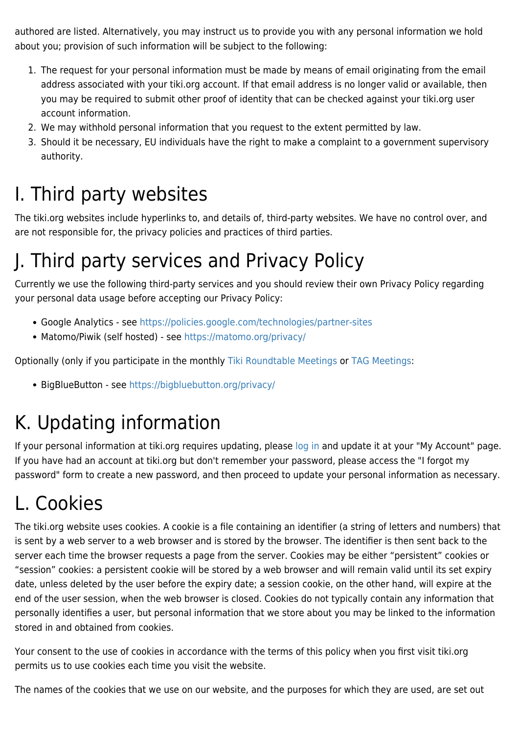authored are listed. Alternatively, you may instruct us to provide you with any personal information we hold about you; provision of such information will be subject to the following:

- 1. The request for your personal information must be made by means of email originating from the email address associated with your tiki.org account. If that email address is no longer valid or available, then you may be required to submit other proof of identity that can be checked against your tiki.org user account information.
- 2. We may withhold personal information that you request to the extent permitted by law.
- 3. Should it be necessary, EU individuals have the right to make a complaint to a government supervisory authority.

#### I. Third party websites

The tiki.org websites include hyperlinks to, and details of, third-party websites. We have no control over, and are not responsible for, the privacy policies and practices of third parties.

#### J. Third party services and Privacy Policy

Currently we use the following third-party services and you should review their own Privacy Policy regarding your personal data usage before accepting our Privacy Policy:

- Google Analytics see<https://policies.google.com/technologies/partner-sites>
- Matomo/Piwik (self hosted) see <https://matomo.org/privacy/>

Optionally (only if you participate in the monthly [Tiki Roundtable Meetings](https://tiki.org/Roundtable-Meetings) or [TAG Meetings:](https://tiki.org/Admins-Team-Meetings)

• BigBlueButton - see<https://bigbluebutton.org/privacy/>

#### K. Updating information

If your personal information at tiki.org requires updating, please [log in](https://tiki.org/login) and update it at your "My Account" page. If you have had an account at tiki.org but don't remember your password, please access the "I forgot my password" form to create a new password, and then proceed to update your personal information as necessary.

# L. Cookies

The tiki.org website uses cookies. A cookie is a file containing an identifier (a string of letters and numbers) that is sent by a web server to a web browser and is stored by the browser. The identifier is then sent back to the server each time the browser requests a page from the server. Cookies may be either "persistent" cookies or "session" cookies: a persistent cookie will be stored by a web browser and will remain valid until its set expiry date, unless deleted by the user before the expiry date; a session cookie, on the other hand, will expire at the end of the user session, when the web browser is closed. Cookies do not typically contain any information that personally identifies a user, but personal information that we store about you may be linked to the information stored in and obtained from cookies.

Your consent to the use of cookies in accordance with the terms of this policy when you first visit tiki.org permits us to use cookies each time you visit the website.

The names of the cookies that we use on our website, and the purposes for which they are used, are set out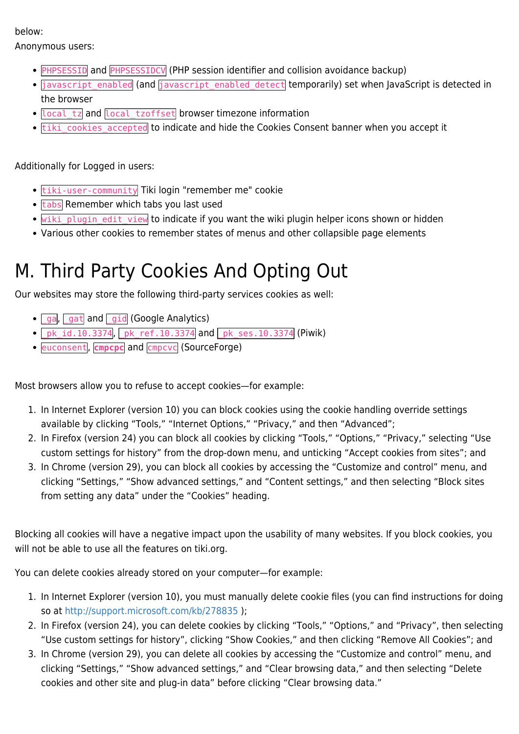#### below:

Anonymous users:

- **PHPSESSID** and **PHPSESSIDCV** (PHP session identifier and collision avoidance backup)
- javascript enabled (and javascript enabled detect temporarily) set when JavaScript is detected in the browser
- local\_tz and local\_tzoffset browser timezone information
- tiki\_cookies\_accepted to indicate and hide the Cookies Consent banner when you accept it

Additionally for Logged in users:

- tiki-user-community Tiki login "remember me" cookie
- $\cdot$  tabs Remember which tabs you last used
- . Wiki plugin edit view to indicate if you want the wiki plugin helper icons shown or hidden
- Various other cookies to remember states of menus and other collapsible page elements

### M. Third Party Cookies And Opting Out

Our websites may store the following third-party services cookies as well:

- ga, gat and gid (Google Analytics)
- $\bullet$   $\sqrt{pk\_id.10.3374}$ ,  $pk\_ref.10.3374$  and  $pk\_ses.10.3374$  (Piwik)
- *euconsent*, **cmpcpc** and **cmpcvc** (SourceForge)

Most browsers allow you to refuse to accept cookies—for example:

- 1. In Internet Explorer (version 10) you can block cookies using the cookie handling override settings available by clicking "Tools," "Internet Options," "Privacy," and then "Advanced";
- 2. In Firefox (version 24) you can block all cookies by clicking "Tools," "Options," "Privacy," selecting "Use custom settings for history" from the drop-down menu, and unticking "Accept cookies from sites"; and
- 3. In Chrome (version 29), you can block all cookies by accessing the "Customize and control" menu, and clicking "Settings," "Show advanced settings," and "Content settings," and then selecting "Block sites from setting any data" under the "Cookies" heading.

Blocking all cookies will have a negative impact upon the usability of many websites. If you block cookies, you will not be able to use all the features on tiki.org.

You can delete cookies already stored on your computer—for example:

- 1. In Internet Explorer (version 10), you must manually delete cookie files (you can find instructions for doing so at <http://support.microsoft.com/kb/278835> );
- 2. In Firefox (version 24), you can delete cookies by clicking "Tools," "Options," and "Privacy", then selecting "Use custom settings for history", clicking "Show Cookies," and then clicking "Remove All Cookies"; and
- 3. In Chrome (version 29), you can delete all cookies by accessing the "Customize and control" menu, and clicking "Settings," "Show advanced settings," and "Clear browsing data," and then selecting "Delete cookies and other site and plug-in data" before clicking "Clear browsing data."